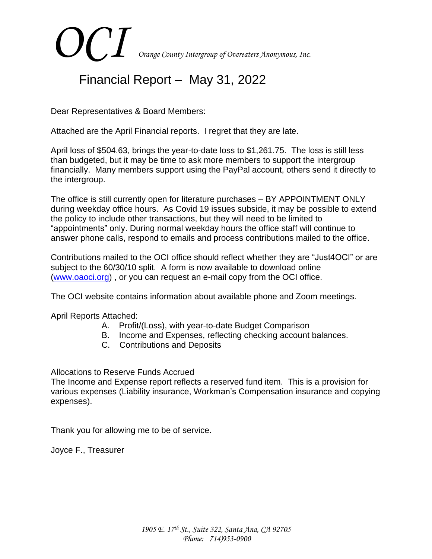# *OCI Orange County Intergroup of Overeaters Anonymous, Inc.*

# Financial Report – May 31, 2022

Dear Representatives & Board Members:

Attached are the April Financial reports. I regret that they are late.

April loss of \$504.63, brings the year-to-date loss to \$1,261.75. The loss is still less than budgeted, but it may be time to ask more members to support the intergroup financially. Many members support using the PayPal account, others send it directly to the intergroup.

The office is still currently open for literature purchases – BY APPOINTMENT ONLY during weekday office hours. As Covid 19 issues subside, it may be possible to extend the policy to include other transactions, but they will need to be limited to "appointments" only. During normal weekday hours the office staff will continue to answer phone calls, respond to emails and process contributions mailed to the office.

Contributions mailed to the OCI office should reflect whether they are "Just4OCI" or are subject to the 60/30/10 split. A form is now available to download online [\(www.oaoci.org\)](http://www.oaoci.org/) , or you can request an e-mail copy from the OCI office.

The OCI website contains information about available phone and Zoom meetings.

April Reports Attached:

- A. Profit/(Loss), with year-to-date Budget Comparison
- B. Income and Expenses, reflecting checking account balances.
- C. Contributions and Deposits

Allocations to Reserve Funds Accrued

The Income and Expense report reflects a reserved fund item. This is a provision for various expenses (Liability insurance, Workman's Compensation insurance and copying expenses).

Thank you for allowing me to be of service.

Joyce F., Treasurer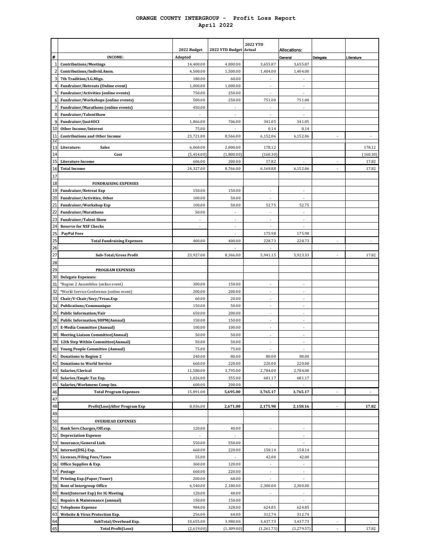#### **ORANGE COUNTY INTERGROUP - Profit Loss Report April 2022**

|                          |                                                                 | 2022 Budget       | 2022 YTD Budget Actual   | <b>2022 YTD</b>          |                          |                |                |
|--------------------------|-----------------------------------------------------------------|-------------------|--------------------------|--------------------------|--------------------------|----------------|----------------|
| #                        | <b>INCOME:</b>                                                  | Adopted           |                          |                          | Allocations:<br>General  | Delegate       | Literature     |
|                          | <b>Contributions/Meetings</b>                                   | 14,400.00         | 4,800.00                 | 3,655.87                 | 3,655.87                 |                |                |
| $\overline{\mathcal{L}}$ | Contributions/Individ.Anon.                                     | 4,500.00          | 1,500.00                 | 1,404.00                 | 1,404.00                 |                |                |
| 3                        | 7th Tradition/I.G.Mtgs.                                         | 180.00            | 60.00                    | ÷,                       |                          |                |                |
| $\overline{4}$           | <b>Fundraiser/Retreats (Online event)</b>                       | 1,000.00          | 1,000.00                 |                          |                          |                |                |
| 5                        | Fundraiser/Activities (online events)                           | 750.00            | 250.00                   |                          |                          |                |                |
| 6                        | Fundraiser/Workshops (online events)                            | 500.00            | 250.00                   | 751.00                   | 751.00                   |                |                |
| 7                        | Fundraiser/Marathons (online events)                            | 450.00            |                          |                          |                          |                |                |
| 8                        | Fundraiser/TalentShow                                           |                   |                          |                          |                          |                |                |
| 9<br>10                  | Fundraiser/Just4OCI                                             | 1,866.00<br>75.00 | 706.00                   | 341.05<br>0.14           | 341.05<br>0.14           |                |                |
| 11                       | Other Income/Interest<br><b>Contributions and Other Income</b>  | 23,721.00         | 8,566.00                 | 6,152.06                 | 6,152.06                 |                |                |
| 12                       |                                                                 |                   |                          |                          |                          |                |                |
| 13                       | Literature:<br><b>Sales</b>                                     | 6,060.00          | 2,000.00                 | 178.12                   |                          |                | 178.12         |
| 14                       | Cost                                                            | (5,454.00)        | (1,800.00)               | (160.30)                 |                          |                | (160.30)       |
| 15                       | <b>Literature Income</b>                                        | 606.00            | 200.00                   | 17.82                    |                          |                | 17.82          |
| 16                       | <b>Total Income</b>                                             | 24,327.00         | 8,766.00                 | 6,169.88                 | 6,152.06                 |                | 17.82          |
| 17<br>18                 |                                                                 |                   |                          |                          |                          |                |                |
| 19                       | <b>FUNDRAISING EXPENSES</b><br><b>Fundraiser/Retreat Exp</b>    | 150.00            | 150.00                   |                          |                          |                |                |
| 20                       | Fundraiser/Activities, Other                                    | 100.00            | 50.00                    | ÷,                       | ä,                       |                |                |
|                          | Fundraiser/Workshop Exp                                         | 100.00            | 50.00                    | 52.75                    | 52.75                    |                |                |
| 22                       | <b>Fundraiser/Marathons</b>                                     | 50.00             | ä,                       |                          |                          |                |                |
| 23                       | <b>Fundraiser/Talent Show</b>                                   | ä,                | ä,                       | ÷,                       |                          |                |                |
| 24                       | <b>Reserve for NSF Checks</b>                                   |                   | ×,                       |                          |                          |                |                |
| 25                       | <b>PayPal Fees</b>                                              |                   | ä,                       | 175.98                   | 175.98                   |                |                |
| 25                       | <b>Total Fundraising Expenses</b>                               | 400.00            | 400.00                   | 228.73                   | 228.73                   |                |                |
| 26                       |                                                                 |                   |                          |                          |                          |                |                |
| 27                       | Sub-Total/Gross Profit                                          | 23,927.00         | 8,366.00                 | 5,941.15                 | 5,923.33                 |                | 17.82          |
| 28<br>29                 | PROGRAM EXPENSES                                                |                   |                          |                          |                          |                |                |
| 30                       | <b>Delegate Expenses:</b>                                       |                   |                          |                          |                          |                |                |
| 31                       | *Region 2 Assemblies (online event)                             | 300.00            | 150.00                   |                          |                          |                |                |
| 32                       | *World Service Conference (online event)                        | 200.00            | 200.00                   | ÷,                       |                          |                |                |
| 33                       | Chair/V-Chair/Secy/Treas.Exp                                    | 60.00             | 20.00                    | ٠                        | ٠                        |                |                |
| 34                       | Publications/Communique                                         | 150.00            | 50.00                    |                          |                          |                |                |
| 35                       | <b>Public Information/Fair</b>                                  | 650.00            | 200.00                   |                          |                          |                |                |
| 36                       | <b>Public Information/HIPM(Annual)</b>                          | 150.00            | 150.00                   | ×,                       | Ĭ.                       |                |                |
| 37                       | <b>E-Media Committee (Annual)</b>                               | 100.00            | 100.00                   |                          |                          |                |                |
| 38                       | <b>Meeting Liaison Committee(Annual)</b>                        | 50.00             | 50.00                    |                          |                          |                |                |
| 39                       | 12th Step Within Committee(Annual)                              | 50.00             | 50.00                    |                          | ä,                       |                |                |
| 40                       | Young People Committee (Annual)<br><b>Donations to Region 2</b> | 75.00<br>240.00   | 75.00<br>80.00           | 80.00                    | 80.00                    |                |                |
| 41<br>42                 | <b>Donations to World Service</b>                               | 660.00            | 220.00                   | 220.00                   | 220.00                   |                |                |
| 43                       | Salaries/Clerical                                               | 11,580.00         | 3,795.00                 | 2,784.00                 | 2,784.00                 |                |                |
| 44                       | Salaries/Emplr.Tax Exp.                                         | 1,026.00          | 355.00                   | 681.17                   | 681.17                   |                |                |
| 45                       | Salaries/Workmens Comp Ins.                                     | 600.00            | 200.00                   |                          |                          |                |                |
| 46                       | <b>Total Program Expenses</b>                                   | 15,891.00         | 5,695.00                 | 3,765.17                 | 3,765.17                 | $\blacksquare$ | $\blacksquare$ |
| 47                       |                                                                 |                   |                          |                          |                          |                |                |
| 48                       | Profit(Loss)After Program Exp                                   | 8,036.00          | 2,671.00                 | 2,175.98                 | 2,158.16                 | $\blacksquare$ | 17.82          |
| 49                       |                                                                 |                   |                          |                          |                          |                |                |
| 50<br>51                 | <b>OVERHEAD EXPENSES</b><br>Bank Serv.Charges/Off.exp.          | 120.00            | 40.00                    | ä,                       |                          |                |                |
| 52                       | <b>Depreciation Expense</b>                                     | ÷.                | ä,                       |                          |                          |                |                |
| 53                       | Insurance/General Liab.                                         | 550.00            | 550.00                   | ٠                        | ×,                       |                |                |
| 54                       | Internet(DSL) Exp.                                              | 660.00            | 220.00                   | 158.14                   | 158.14                   |                |                |
| 55                       | <b>Licenses/Filing Fees/Taxes</b>                               | 55.00             | $\overline{\phantom{a}}$ | 42.00                    | 42.00                    |                |                |
| 56                       | Office Supplies & Exp.                                          | 360.00            | 120.00                   | $\overline{\phantom{a}}$ | $\overline{\phantom{a}}$ |                |                |
| 57                       | Postage                                                         | 660.00            | 220.00                   | $\overline{\phantom{a}}$ | ÷                        |                |                |
| 58                       | Printing Exp.(Paper/Toner)                                      | 200.00            | 68.00                    | $\overline{\phantom{a}}$ |                          |                |                |
| 59                       | <b>Rent of Intergroup Office</b>                                | 6,540.00          | 2,180.00                 | 2,300.00                 | 2,300.00                 |                |                |
| 60                       | Rent(Internet Exp) for IG Meeting                               | 120.00            | 40.00                    | $\overline{\phantom{a}}$ | ÷                        |                |                |
| 61                       | Repairs & Maintenance (annual)                                  | 150.00            | 150.00                   |                          |                          |                |                |
| 62<br>63                 | <b>Telephone Expense</b><br>Website & Virus Protection Exp.     | 984.00<br>256.00  | 328.00<br>64.00          | 624.85<br>312.74         | 624.85<br>312.74         |                |                |
| 64                       | SubTotal/Overhead Exp.                                          | 10,655.00         | 3,980.00                 | 3,437.73                 | 3,437.73                 |                |                |
| 65                       | <b>Total Profit(Loss)</b>                                       | (2,619.00)        | (1,309.00)               | (1,261.75)               | (1, 279.57)              |                | 17.82          |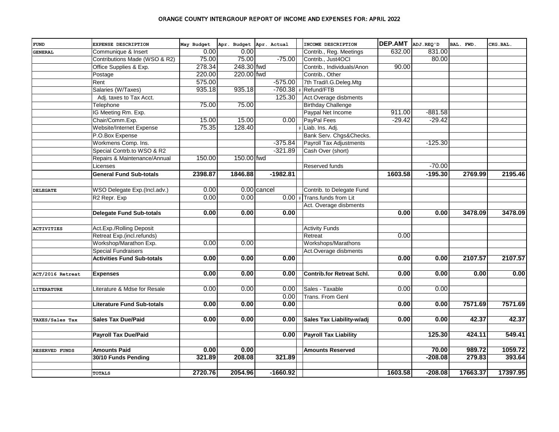| <b>FUND</b>            | EXPENSE DESCRIPTION               | May Budget | Apr. Budget Apr. Actual |               | INCOME DESCRIPTION               | DEP.AMT ADJ.REQ'D |           | BAL. FWD. | CKG.BAL. |
|------------------------|-----------------------------------|------------|-------------------------|---------------|----------------------------------|-------------------|-----------|-----------|----------|
| <b>GENERAL</b>         | Communique & Insert               | 0.00       | 0.00                    |               | Contrib., Reg. Meetings          | 632.00            | 831.00    |           |          |
|                        | Contributions Made (WSO & R2)     | 75.00      | 75.00                   | $-75.00$      | Contrib., Just4OCI               |                   | 80.00     |           |          |
|                        | Office Supplies & Exp.            | 278.34     | 248.30 fwd              |               | Contrib., Individuals/Anon       | 90.00             |           |           |          |
|                        | Postage                           | 220.00     | 220.00 fwd              |               | Contrib., Other                  |                   |           |           |          |
|                        | Rent                              | 575.00     |                         | $-575.00$     | 7th Trad/I.G.Deleg.Mtg           |                   |           |           |          |
|                        | Salaries (W/Taxes)                | 935.18     | 935.18                  | $-760.38$     | Refund/FTB                       |                   |           |           |          |
|                        | Adj. taxes to Tax Acct.           |            |                         | 125.30        | Act.Overage disbments            |                   |           |           |          |
|                        | Telephone                         | 75.00      | 75.00                   |               | <b>Birthday Challenge</b>        |                   |           |           |          |
|                        | IG Meeting Rm. Exp.               |            |                         |               | Paypal Net Income                | 911.00            | $-881.58$ |           |          |
|                        | Chair/Comm.Exp.                   | 15.00      | 15.00                   | 0.001         | PayPal Fees                      | $-29.42$          | $-29.42$  |           |          |
|                        | Website/Internet Expense          | 75.35      | 128.40                  |               | Liab. Ins. Adj.                  |                   |           |           |          |
|                        | P.O.Box Expense                   |            |                         |               | Bank Serv. Chgs&Checks.          |                   |           |           |          |
|                        | Workmens Comp. Ins.               |            |                         | $-375.84$     | <b>Payroll Tax Adjustments</b>   |                   | $-125.30$ |           |          |
|                        | Special Contrb.to WSO & R2        |            |                         | $-321.89$     | Cash Over (short)                |                   |           |           |          |
|                        | Repairs & Maintenance/Annual      | 150.00     | 150.00 fwd              |               |                                  |                   |           |           |          |
|                        | Licenses                          |            |                         |               | Reserved funds                   |                   | $-70.00$  |           |          |
|                        | <b>General Fund Sub-totals</b>    | 2398.87    | 1846.88                 | $-1982.81$    |                                  | 1603.58           | $-195.30$ | 2769.99   | 2195.46  |
|                        |                                   |            |                         |               |                                  |                   |           |           |          |
| <b>DELEGATE</b>        | WSO Delegate Exp.(Incl.adv.)      | 0.00       |                         | $0.00$ cancel | Contrib. to Delegate Fund        |                   |           |           |          |
|                        | R <sub>2</sub> Repr. Exp          | 0.00       | 0.00                    | 0.00          | # Trans.funds from Lit           |                   |           |           |          |
|                        |                                   |            |                         |               | Act. Overage disbments           |                   |           |           |          |
|                        | <b>Delegate Fund Sub-totals</b>   | 0.00       | 0.00                    | 0.00          |                                  | 0.00              | 0.00      | 3478.09   | 3478.09  |
|                        |                                   |            |                         |               |                                  |                   |           |           |          |
| <b>ACTIVITIES</b>      | Act.Exp./Rolling Deposit          |            |                         |               | <b>Activity Funds</b>            |                   |           |           |          |
|                        | Retreat Exp.(incl.refunds)        |            |                         |               | Retreat                          | 0.00              |           |           |          |
|                        | Workshop/Marathon Exp.            | 0.00       | 0.00                    |               | Workshops/Marathons              |                   |           |           |          |
|                        | <b>Special Fundraisers</b>        |            |                         |               | Act.Overage disbments            |                   |           |           |          |
|                        | <b>Activities Fund Sub-totals</b> | 0.00       | 0.00                    | 0.00          |                                  | 0.00              | 0.00      | 2107.57   | 2107.57  |
|                        |                                   |            |                         |               |                                  |                   |           |           |          |
| ACT/2016 Retreat       | <b>Expenses</b>                   | 0.00       | 0.00                    | 0.00          | <b>Contrib.for Retreat Schl.</b> | 0.00              | 0.00      | 0.00      | 0.00     |
|                        |                                   |            |                         |               |                                  |                   |           |           |          |
| <b>LITERATURE</b>      | Literature & Mdse for Resale      | 0.00       | 0.00                    | 0.00          | Sales - Taxable                  | 0.00              | 0.00      |           |          |
|                        |                                   |            |                         | 0.00          | Trans. From Genl                 |                   |           |           |          |
|                        | <b>Literature Fund Sub-totals</b> | 0.00       | 0.00                    | 0.00          |                                  | 0.00              | 0.00      | 7571.69   | 7571.69  |
|                        |                                   |            |                         |               |                                  |                   |           |           |          |
| <b>TAXES/Sales Tax</b> | <b>Sales Tax Due/Paid</b>         | 0.00       | 0.00                    | 0.00          | Sales Tax Liability-w/adj        | 0.00              | 0.00      | 42.37     | 42.37    |
|                        |                                   |            |                         |               |                                  |                   |           |           |          |
|                        | <b>Payroll Tax Due/Paid</b>       |            |                         | 0.00          | <b>Payroll Tax Liability</b>     |                   | 125.30    | 424.11    | 549.41   |
|                        |                                   |            |                         |               |                                  |                   |           |           |          |
| <b>RESERVED FUNDS</b>  | <b>Amounts Paid</b>               | 0.00       | 0.00                    |               | <b>Amounts Reserved</b>          |                   | 70.00     | 989.72    | 1059.72  |
|                        | 30/10 Funds Pending               | 321.89     | 208.08                  | 321.89        |                                  |                   | $-208.08$ | 279.83    | 393.64   |
|                        |                                   |            |                         |               |                                  |                   |           |           |          |
|                        | <b>TOTALS</b>                     | 2720.76    | 2054.96                 | $-1660.92$    |                                  | 1603.58           | $-208.08$ | 17663.37  | 17397.95 |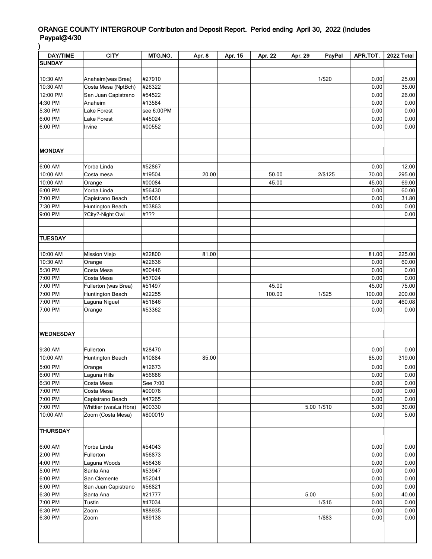## ORANGE COUNTY INTERGROUP Contributon and Deposit Report. Period ending April 30, 2022 (Includes Paypal@4/30 )

| <b>DAY/TIME</b>    | <b>CITY</b>              | MTG.NO.          | Apr. 8 | Apr. 15 | Apr. 22 | Apr. 29 | PayPal          | APR.TOT.     | 2022 Total   |
|--------------------|--------------------------|------------------|--------|---------|---------|---------|-----------------|--------------|--------------|
| <b>SUNDAY</b>      |                          |                  |        |         |         |         |                 |              |              |
|                    |                          |                  |        |         |         |         |                 |              |              |
| 10:30 AM           | Anaheim(was Brea)        | #27910           |        |         |         |         | 1/\$20          | 0.00         | 25.00        |
| 10:30 AM           | Costa Mesa (NptBch)      | #26322           |        |         |         |         |                 | 0.00         | 35.00        |
| 12:00 PM           | San Juan Capistrano      | #54522           |        |         |         |         |                 | 0.00         | 26.00        |
| 4:30 PM            | Anaheim                  | #13584           |        |         |         |         |                 | 0.00         | 0.00         |
| 5:30 PM            | Lake Forest              | see 6:00PM       |        |         |         |         |                 | 0.00         | 0.00         |
| 6:00 PM            | Lake Forest              | #45024           |        |         |         |         |                 | 0.00         | 0.00         |
| $6:00$ PM          | Irvine                   | #00552           |        |         |         |         |                 | 0.00         | 0.00         |
|                    |                          |                  |        |         |         |         |                 |              |              |
|                    |                          |                  |        |         |         |         |                 |              |              |
| MONDAY             |                          |                  |        |         |         |         |                 |              |              |
|                    |                          |                  |        |         |         |         |                 |              |              |
| 6:00 AM            | Yorba Linda              | #52867           |        |         |         |         |                 | 0.00         | 12.00        |
| 10:00 AM           | Costa mesa               | #19504           | 20.00  |         | 50.00   |         | 2/\$125         | 70.00        | 295.00       |
| 10:00 AM           | Orange                   | #00084           |        |         | 45.00   |         |                 | 45.00        | 69.00        |
| 6:00 PM            | Yorba Linda              | #56430           |        |         |         |         |                 | 0.00         | 60.00        |
| 7:00 PM            | Capistrano Beach         | #54061           |        |         |         |         |                 | 0.00         | 31.80        |
| 7:30 PM            | Huntington Beach         | #03863           |        |         |         |         |                 | 0.00         | 0.00         |
| 9:00 PM            | ?City?-Night Owl         | #???             |        |         |         |         |                 |              | 0.00         |
|                    |                          |                  |        |         |         |         |                 |              |              |
|                    |                          |                  |        |         |         |         |                 |              |              |
| <b>TUESDAY</b>     |                          |                  |        |         |         |         |                 |              |              |
|                    |                          |                  |        |         |         |         |                 |              |              |
| 10:00 AM           | Mission Viejo            | #22800           | 81.00  |         |         |         |                 | 81.00        | 225.00       |
| 10:30 AM           | Orange                   | #22636           |        |         |         |         |                 | 0.00         | 60.00        |
| 5:30 PM            | Costa Mesa               | #00446           |        |         |         |         |                 | 0.00         | 0.00         |
| 7:00 PM            | Costa Mesa               | #57024           |        |         |         |         |                 | 0.00         | 0.00         |
| $7:00$ PM          | Fullerton (was Brea)     | #51497           |        |         | 45.00   |         |                 | 45.00        | 75.00        |
| 7:00 PM            | Huntington Beach         | #22255           |        |         | 100.00  |         | 1/\$25          | 100.00       | 200.00       |
| 7:00 PM            | Laguna Niguel            | #51846           |        |         |         |         |                 | 0.00         | 460.08       |
| 7:00 PM            | Orange                   | #53362           |        |         |         |         |                 | 0.00         | 0.00         |
|                    |                          |                  |        |         |         |         |                 |              |              |
|                    |                          |                  |        |         |         |         |                 |              |              |
| <b>WEDNESDAY</b>   |                          |                  |        |         |         |         |                 |              |              |
|                    |                          |                  |        |         |         |         |                 |              |              |
| 9:30 AM            | Fullerton                | #28470           |        |         |         |         |                 | 0.00         | 0.00         |
| 10:00 AM           | Huntington Beach         | #10884           | 85.00  |         |         |         |                 | 85.00        | 319.00       |
| 5:00 PM            | Orange                   | #12673           |        |         |         |         |                 | 0.00         | 0.00         |
| 6:00 PM            | Laguna Hills             | #56686           |        |         |         |         |                 | 0.00         | 0.00         |
| 6:30 PM            | Costa Mesa               | See 7:00         |        |         |         |         |                 | 0.00         | 0.00         |
| 7:00 PM            | Costa Mesa               | #00078           |        |         |         |         |                 | 0.00         | 0.00         |
| 7:00 PM            | Capistrano Beach         | #47265           |        |         |         |         |                 | 0.00         | 0.00         |
| 7:00 PM            | Whittier (wasLa Hbra)    | #00330           |        |         |         |         | $5.00$ $1/\$10$ | 5.00         | 30.00        |
| 10:00 AM           | Zoom (Costa Mesa)        | #800019          |        |         |         |         |                 | 0.00         | 5.00         |
|                    |                          |                  |        |         |         |         |                 |              |              |
| <b>THURSDAY</b>    |                          |                  |        |         |         |         |                 |              |              |
|                    |                          |                  |        |         |         |         |                 |              |              |
| 6:00 AM            |                          |                  |        |         |         |         |                 |              |              |
| 2:00 PM            | Yorba Linda<br>Fullerton | #54043<br>#56873 |        |         |         |         |                 | 0.00<br>0.00 | 0.00<br>0.00 |
|                    |                          |                  |        |         |         |         |                 |              |              |
| 4:00 PM            | Laguna Woods             | #56436           |        |         |         |         |                 | 0.00         | 0.00         |
| 5:00 PM            | Santa Ana                | #53947           |        |         |         |         |                 | 0.00         | 0.00         |
| 6:00 PM            | San Clemente             | #52041           |        |         |         |         |                 | 0.00         | 0.00         |
| 6:00 PM            | San Juan Capistrano      | #56821           |        |         |         |         |                 | 0.00         | 0.00         |
| 6:30 PM<br>7:00 PM | Santa Ana                | #21777           |        |         |         | 5.00    |                 | 5.00         | 40.00        |
| 6:30 PM            | Tustin                   | #47034           |        |         |         |         | 1/\$16          | 0.00         | 0.00         |
| 6:30 PM            | Zoom                     | #88935<br>#89138 |        |         |         |         | 1/\$83          | 0.00<br>0.00 | 0.00<br>0.00 |
|                    | Zoom                     |                  |        |         |         |         |                 |              |              |
|                    |                          |                  |        |         |         |         |                 |              |              |
|                    |                          |                  |        |         |         |         |                 |              |              |